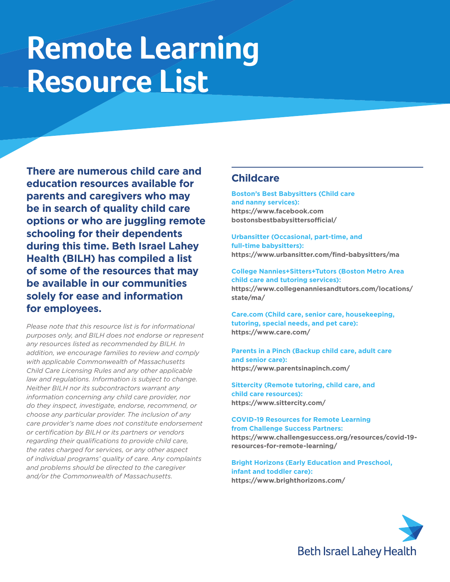# **Remote Learning Resource List**

**There are numerous child care and education resources available for parents and caregivers who may be in search of quality child care options or who are juggling remote schooling for their dependents during this time. Beth Israel Lahey Health (BILH) has compiled a list of some of the resources that may be available in our communities solely for ease and information for employees.**

*Please note that this resource list is for informational purposes only, and BILH does not endorse or represent any resources listed as recommended by BILH. In addition, we encourage families to review and comply with applicable Commonwealth of Massachusetts Child Care Licensing Rules and any other applicable law and regulations. Information is subject to change. Neither BILH nor its subcontractors warrant any information concerning any child care provider, nor do they inspect, investigate, endorse, recommend, or choose any particular provider. The inclusion of any care provider's name does not constitute endorsement or certification by BILH or its partners or vendors regarding their qualifications to provide child care, the rates charged for services, or any other aspect of individual programs' quality of care. Any complaints and problems should be directed to the caregiver and/or the Commonwealth of Massachusetts.*

## **Childcare**

**Boston's Best Babysitters (Child care and nanny services): [https://www.facebook.com](https://www.facebook.com bostonsbestbabysittersofficial/)  [bostonsbestbabysittersofficial/](https://www.facebook.com bostonsbestbabysittersofficial/)**

**Urbansitter (Occasional, part-time, and full-time babysitters): <https://www.urbansitter.com/find-babysitters/ma>**

**College Nannies+Sitters+Tutors (Boston Metro Area child care and tutoring services):**

**[https://www.collegenanniesandtutors.com/locations/](https://www.collegenanniesandtutors.com/locations/state/ma/) [state/ma/](https://www.collegenanniesandtutors.com/locations/state/ma/)**

**Care.com (Child care, senior care, housekeeping, tutoring, special needs, and pet care): <https://www.care.com/>**

**Parents in a Pinch (Backup child care, adult care and senior care): <https://www.parentsinapinch.com/>**

**Sittercity (Remote tutoring, child care, and child care resources): <https://www.sittercity.com/>**

**COVID-19 Resources for Remote Learning from Challenge Success Partners: [https://www.challengesuccess.org/resources/covid-19](https://www.challengesuccess.org/resources/covid-19-resources-for-remote-learning/) [resources-for-remote-learning/](https://www.challengesuccess.org/resources/covid-19-resources-for-remote-learning/)**

**Bright Horizons (Early Education and Preschool, infant and toddler care): <https://www.brighthorizons.com/>**